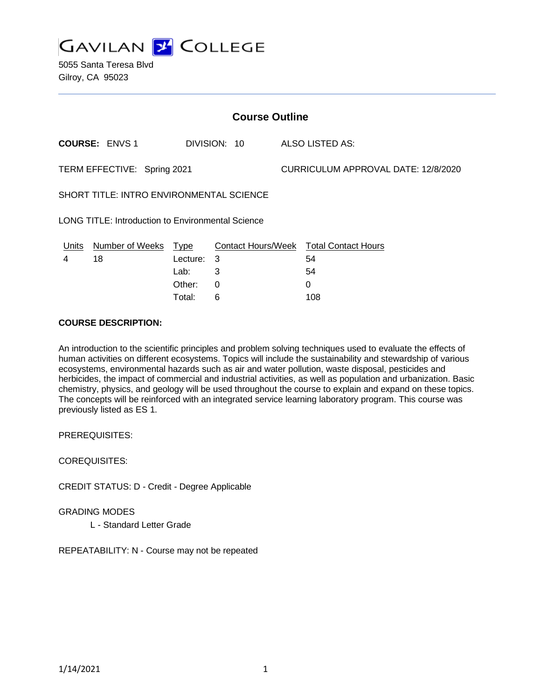

5055 Santa Teresa Blvd Gilroy, CA 95023

| <b>Course Outline</b>                                    |                       |              |          |  |                                        |
|----------------------------------------------------------|-----------------------|--------------|----------|--|----------------------------------------|
|                                                          | <b>COURSE: ENVS 1</b> | DIVISION: 10 |          |  | ALSO LISTED AS:                        |
| TERM EFFECTIVE: Spring 2021                              |                       |              |          |  | CURRICULUM APPROVAL DATE: 12/8/2020    |
| <b>SHORT TITLE: INTRO ENVIRONMENTAL SCIENCE</b>          |                       |              |          |  |                                        |
| <b>LONG TITLE: Introduction to Environmental Science</b> |                       |              |          |  |                                        |
| <u>Units</u>                                             | Number of Weeks Type  |              |          |  | Contact Hours/Week Total Contact Hours |
| 4                                                        | 18                    | Lecture: 3   |          |  | 54                                     |
|                                                          |                       | Lab:         | 3        |  | 54                                     |
|                                                          |                       | Other:       | $\Omega$ |  | 0                                      |
|                                                          |                       | Total:       | 6        |  | 108                                    |

#### **COURSE DESCRIPTION:**

An introduction to the scientific principles and problem solving techniques used to evaluate the effects of human activities on different ecosystems. Topics will include the sustainability and stewardship of various ecosystems, environmental hazards such as air and water pollution, waste disposal, pesticides and herbicides, the impact of commercial and industrial activities, as well as population and urbanization. Basic chemistry, physics, and geology will be used throughout the course to explain and expand on these topics. The concepts will be reinforced with an integrated service learning laboratory program. This course was previously listed as ES 1.

PREREQUISITES:

COREQUISITES:

CREDIT STATUS: D - Credit - Degree Applicable

GRADING MODES

L - Standard Letter Grade

REPEATABILITY: N - Course may not be repeated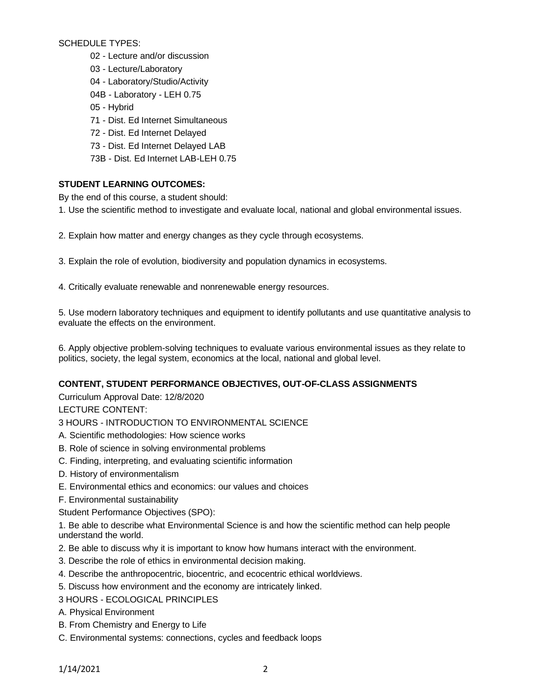SCHEDULE TYPES:

- 02 Lecture and/or discussion
- 03 Lecture/Laboratory
- 04 Laboratory/Studio/Activity
- 04B Laboratory LEH 0.75
- 05 Hybrid
- 71 Dist. Ed Internet Simultaneous
- 72 Dist. Ed Internet Delayed
- 73 Dist. Ed Internet Delayed LAB
- 73B Dist. Ed Internet LAB-LEH 0.75

# **STUDENT LEARNING OUTCOMES:**

By the end of this course, a student should:

1. Use the scientific method to investigate and evaluate local, national and global environmental issues.

- 2. Explain how matter and energy changes as they cycle through ecosystems.
- 3. Explain the role of evolution, biodiversity and population dynamics in ecosystems.
- 4. Critically evaluate renewable and nonrenewable energy resources.

5. Use modern laboratory techniques and equipment to identify pollutants and use quantitative analysis to evaluate the effects on the environment.

6. Apply objective problem-solving techniques to evaluate various environmental issues as they relate to politics, society, the legal system, economics at the local, national and global level.

## **CONTENT, STUDENT PERFORMANCE OBJECTIVES, OUT-OF-CLASS ASSIGNMENTS**

Curriculum Approval Date: 12/8/2020

LECTURE CONTENT:

## 3 HOURS - INTRODUCTION TO ENVIRONMENTAL SCIENCE

- A. Scientific methodologies: How science works
- B. Role of science in solving environmental problems
- C. Finding, interpreting, and evaluating scientific information
- D. History of environmentalism
- E. Environmental ethics and economics: our values and choices
- F. Environmental sustainability
- Student Performance Objectives (SPO):

1. Be able to describe what Environmental Science is and how the scientific method can help people understand the world.

- 2. Be able to discuss why it is important to know how humans interact with the environment.
- 3. Describe the role of ethics in environmental decision making.
- 4. Describe the anthropocentric, biocentric, and ecocentric ethical worldviews.
- 5. Discuss how environment and the economy are intricately linked.
- 3 HOURS ECOLOGICAL PRINCIPLES
- A. Physical Environment
- B. From Chemistry and Energy to Life
- C. Environmental systems: connections, cycles and feedback loops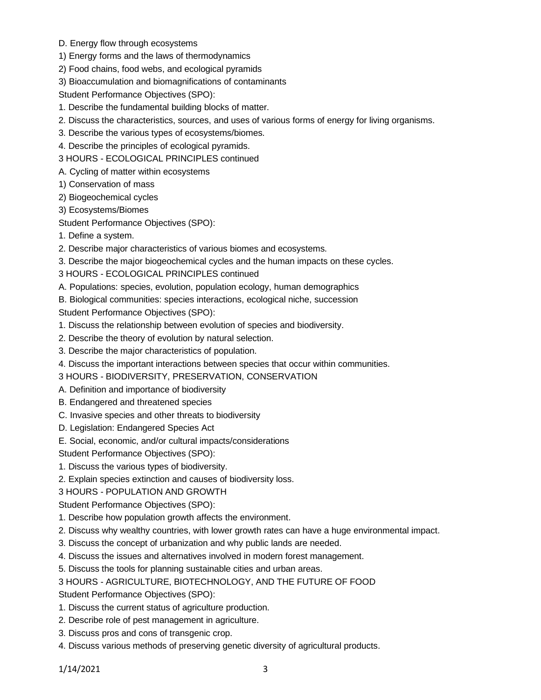- D. Energy flow through ecosystems
- 1) Energy forms and the laws of thermodynamics
- 2) Food chains, food webs, and ecological pyramids
- 3) Bioaccumulation and biomagnifications of contaminants

Student Performance Objectives (SPO):

- 1. Describe the fundamental building blocks of matter.
- 2. Discuss the characteristics, sources, and uses of various forms of energy for living organisms.
- 3. Describe the various types of ecosystems/biomes.
- 4. Describe the principles of ecological pyramids.
- 3 HOURS ECOLOGICAL PRINCIPLES continued
- A. Cycling of matter within ecosystems
- 1) Conservation of mass
- 2) Biogeochemical cycles
- 3) Ecosystems/Biomes
- Student Performance Objectives (SPO):
- 1. Define a system.
- 2. Describe major characteristics of various biomes and ecosystems.
- 3. Describe the major biogeochemical cycles and the human impacts on these cycles.
- 3 HOURS ECOLOGICAL PRINCIPLES continued
- A. Populations: species, evolution, population ecology, human demographics
- B. Biological communities: species interactions, ecological niche, succession

Student Performance Objectives (SPO):

- 1. Discuss the relationship between evolution of species and biodiversity.
- 2. Describe the theory of evolution by natural selection.
- 3. Describe the major characteristics of population.
- 4. Discuss the important interactions between species that occur within communities.
- 3 HOURS BIODIVERSITY, PRESERVATION, CONSERVATION
- A. Definition and importance of biodiversity
- B. Endangered and threatened species
- C. Invasive species and other threats to biodiversity
- D. Legislation: Endangered Species Act
- E. Social, economic, and/or cultural impacts/considerations

Student Performance Objectives (SPO):

- 1. Discuss the various types of biodiversity.
- 2. Explain species extinction and causes of biodiversity loss.
- 3 HOURS POPULATION AND GROWTH

Student Performance Objectives (SPO):

- 1. Describe how population growth affects the environment.
- 2. Discuss why wealthy countries, with lower growth rates can have a huge environmental impact.
- 3. Discuss the concept of urbanization and why public lands are needed.
- 4. Discuss the issues and alternatives involved in modern forest management.
- 5. Discuss the tools for planning sustainable cities and urban areas.
- 3 HOURS AGRICULTURE, BIOTECHNOLOGY, AND THE FUTURE OF FOOD

Student Performance Objectives (SPO):

- 1. Discuss the current status of agriculture production.
- 2. Describe role of pest management in agriculture.
- 3. Discuss pros and cons of transgenic crop.
- 4. Discuss various methods of preserving genetic diversity of agricultural products.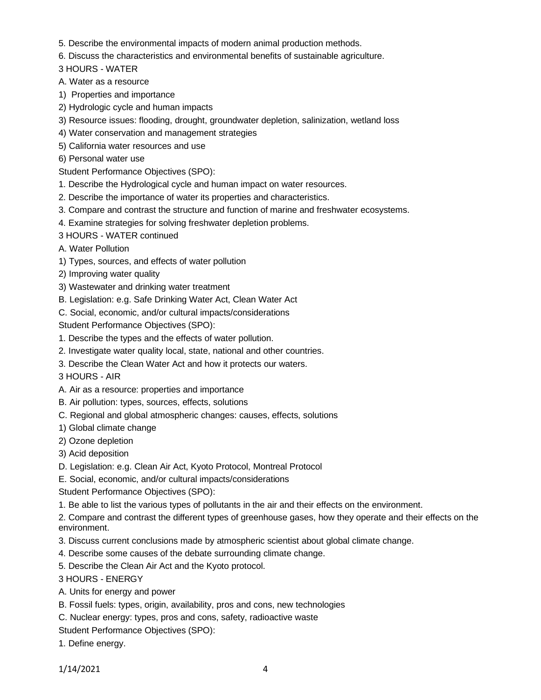- 5. Describe the environmental impacts of modern animal production methods.
- 6. Discuss the characteristics and environmental benefits of sustainable agriculture.
- 3 HOURS WATER
- A. Water as a resource
- 1) Properties and importance
- 2) Hydrologic cycle and human impacts
- 3) Resource issues: flooding, drought, groundwater depletion, salinization, wetland loss
- 4) Water conservation and management strategies
- 5) California water resources and use
- 6) Personal water use
- Student Performance Objectives (SPO):
- 1. Describe the Hydrological cycle and human impact on water resources.
- 2. Describe the importance of water its properties and characteristics.
- 3. Compare and contrast the structure and function of marine and freshwater ecosystems.
- 4. Examine strategies for solving freshwater depletion problems.
- 3 HOURS WATER continued
- A. Water Pollution
- 1) Types, sources, and effects of water pollution
- 2) Improving water quality
- 3) Wastewater and drinking water treatment
- B. Legislation: e.g. Safe Drinking Water Act, Clean Water Act
- C. Social, economic, and/or cultural impacts/considerations

Student Performance Objectives (SPO):

- 1. Describe the types and the effects of water pollution.
- 2. Investigate water quality local, state, national and other countries.
- 3. Describe the Clean Water Act and how it protects our waters.
- 3 HOURS AIR
- A. Air as a resource: properties and importance
- B. Air pollution: types, sources, effects, solutions
- C. Regional and global atmospheric changes: causes, effects, solutions
- 1) Global climate change
- 2) Ozone depletion
- 3) Acid deposition
- D. Legislation: e.g. Clean Air Act, Kyoto Protocol, Montreal Protocol
- E. Social, economic, and/or cultural impacts/considerations
- Student Performance Objectives (SPO):
- 1. Be able to list the various types of pollutants in the air and their effects on the environment.

2. Compare and contrast the different types of greenhouse gases, how they operate and their effects on the environment.

- 3. Discuss current conclusions made by atmospheric scientist about global climate change.
- 4. Describe some causes of the debate surrounding climate change.
- 5. Describe the Clean Air Act and the Kyoto protocol.

3 HOURS - ENERGY

- A. Units for energy and power
- B. Fossil fuels: types, origin, availability, pros and cons, new technologies
- C. Nuclear energy: types, pros and cons, safety, radioactive waste
- Student Performance Objectives (SPO):
- 1. Define energy.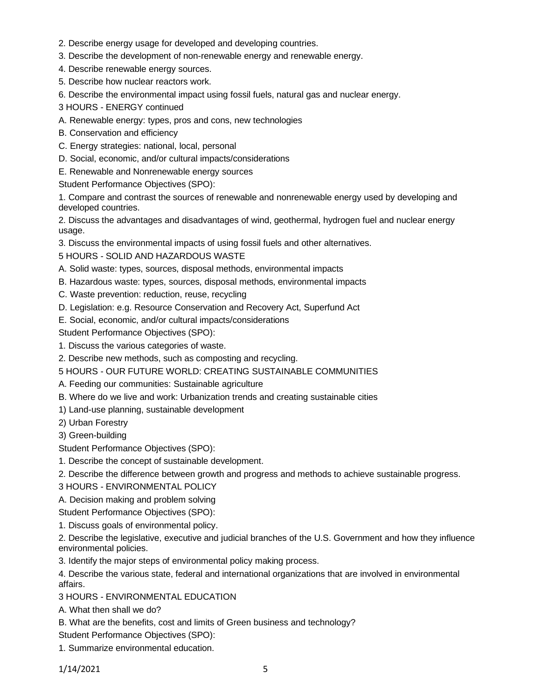- 2. Describe energy usage for developed and developing countries.
- 3. Describe the development of non-renewable energy and renewable energy.
- 4. Describe renewable energy sources.
- 5. Describe how nuclear reactors work.

6. Describe the environmental impact using fossil fuels, natural gas and nuclear energy.

- 3 HOURS ENERGY continued
- A. Renewable energy: types, pros and cons, new technologies
- B. Conservation and efficiency
- C. Energy strategies: national, local, personal
- D. Social, economic, and/or cultural impacts/considerations
- E. Renewable and Nonrenewable energy sources

Student Performance Objectives (SPO):

1. Compare and contrast the sources of renewable and nonrenewable energy used by developing and developed countries.

2. Discuss the advantages and disadvantages of wind, geothermal, hydrogen fuel and nuclear energy usage.

3. Discuss the environmental impacts of using fossil fuels and other alternatives.

5 HOURS - SOLID AND HAZARDOUS WASTE

- A. Solid waste: types, sources, disposal methods, environmental impacts
- B. Hazardous waste: types, sources, disposal methods, environmental impacts
- C. Waste prevention: reduction, reuse, recycling
- D. Legislation: e.g. Resource Conservation and Recovery Act, Superfund Act
- E. Social, economic, and/or cultural impacts/considerations
- Student Performance Objectives (SPO):
- 1. Discuss the various categories of waste.
- 2. Describe new methods, such as composting and recycling.
- 5 HOURS OUR FUTURE WORLD: CREATING SUSTAINABLE COMMUNITIES
- A. Feeding our communities: Sustainable agriculture
- B. Where do we live and work: Urbanization trends and creating sustainable cities
- 1) Land-use planning, sustainable development
- 2) Urban Forestry
- 3) Green-building
- Student Performance Objectives (SPO):
- 1. Describe the concept of sustainable development.
- 2. Describe the difference between growth and progress and methods to achieve sustainable progress.
- 3 HOURS ENVIRONMENTAL POLICY
- A. Decision making and problem solving
- Student Performance Objectives (SPO):
- 1. Discuss goals of environmental policy.

2. Describe the legislative, executive and judicial branches of the U.S. Government and how they influence environmental policies.

3. Identify the major steps of environmental policy making process.

4. Describe the various state, federal and international organizations that are involved in environmental affairs.

- 3 HOURS ENVIRONMENTAL EDUCATION
- A. What then shall we do?
- B. What are the benefits, cost and limits of Green business and technology?
- Student Performance Objectives (SPO):
- 1. Summarize environmental education.

1/14/2021 5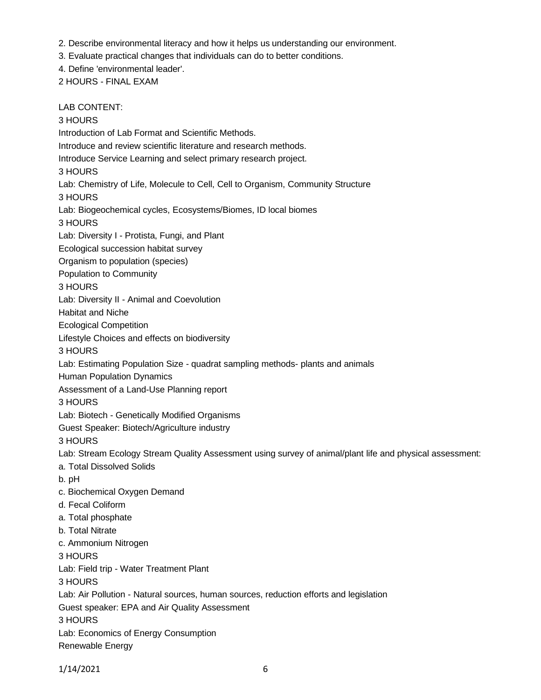- 2. Describe environmental literacy and how it helps us understanding our environment.
- 3. Evaluate practical changes that individuals can do to better conditions.
- 4. Define 'environmental leader'.
- 2 HOURS FINAL EXAM

LAB CONTENT: 3 HOURS Introduction of Lab Format and Scientific Methods. Introduce and review scientific literature and research methods. Introduce Service Learning and select primary research project. 3 HOURS Lab: Chemistry of Life, Molecule to Cell, Cell to Organism, Community Structure 3 HOURS Lab: Biogeochemical cycles, Ecosystems/Biomes, ID local biomes 3 HOURS Lab: Diversity I - Protista, Fungi, and Plant Ecological succession habitat survey Organism to population (species) Population to Community 3 HOURS Lab: Diversity II - Animal and Coevolution Habitat and Niche Ecological Competition Lifestyle Choices and effects on biodiversity 3 HOURS Lab: Estimating Population Size - quadrat sampling methods- plants and animals Human Population Dynamics Assessment of a Land-Use Planning report 3 HOURS Lab: Biotech - Genetically Modified Organisms Guest Speaker: Biotech/Agriculture industry 3 HOURS Lab: Stream Ecology Stream Quality Assessment using survey of animal/plant life and physical assessment: a. Total Dissolved Solids b. pH c. Biochemical Oxygen Demand d. Fecal Coliform a. Total phosphate b. Total Nitrate c. Ammonium Nitrogen 3 HOURS Lab: Field trip - Water Treatment Plant 3 HOURS Lab: Air Pollution - Natural sources, human sources, reduction efforts and legislation Guest speaker: EPA and Air Quality Assessment 3 HOURS Lab: Economics of Energy Consumption Renewable Energy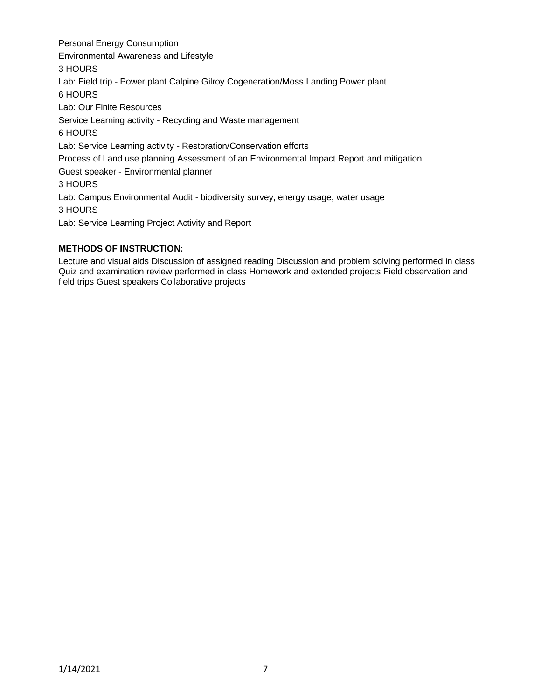Personal Energy Consumption Environmental Awareness and Lifestyle 3 HOURS Lab: Field trip - Power plant Calpine Gilroy Cogeneration/Moss Landing Power plant 6 HOURS Lab: Our Finite Resources Service Learning activity - Recycling and Waste management 6 HOURS Lab: Service Learning activity - Restoration/Conservation efforts Process of Land use planning Assessment of an Environmental Impact Report and mitigation Guest speaker - Environmental planner 3 HOURS Lab: Campus Environmental Audit - biodiversity survey, energy usage, water usage 3 HOURS Lab: Service Learning Project Activity and Report

## **METHODS OF INSTRUCTION:**

Lecture and visual aids Discussion of assigned reading Discussion and problem solving performed in class Quiz and examination review performed in class Homework and extended projects Field observation and field trips Guest speakers Collaborative projects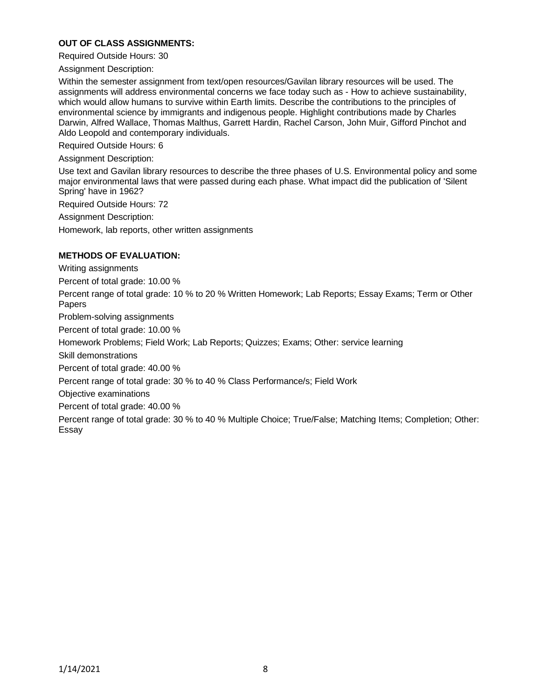#### **OUT OF CLASS ASSIGNMENTS:**

Required Outside Hours: 30

Assignment Description:

Within the semester assignment from text/open resources/Gavilan library resources will be used. The assignments will address environmental concerns we face today such as - How to achieve sustainability, which would allow humans to survive within Earth limits. Describe the contributions to the principles of environmental science by immigrants and indigenous people. Highlight contributions made by Charles Darwin, Alfred Wallace, Thomas Malthus, Garrett Hardin, Rachel Carson, John Muir, Gifford Pinchot and Aldo Leopold and contemporary individuals.

Required Outside Hours: 6

Assignment Description:

Use text and Gavilan library resources to describe the three phases of U.S. Environmental policy and some major environmental laws that were passed during each phase. What impact did the publication of 'Silent Spring' have in 1962?

Required Outside Hours: 72

Assignment Description:

Homework, lab reports, other written assignments

### **METHODS OF EVALUATION:**

Writing assignments

Percent of total grade: 10.00 %

Percent range of total grade: 10 % to 20 % Written Homework; Lab Reports; Essay Exams; Term or Other Papers

Problem-solving assignments

Percent of total grade: 10.00 %

Homework Problems; Field Work; Lab Reports; Quizzes; Exams; Other: service learning

Skill demonstrations

Percent of total grade: 40.00 %

Percent range of total grade: 30 % to 40 % Class Performance/s; Field Work

Objective examinations

Percent of total grade: 40.00 %

Percent range of total grade: 30 % to 40 % Multiple Choice; True/False; Matching Items; Completion; Other: Essay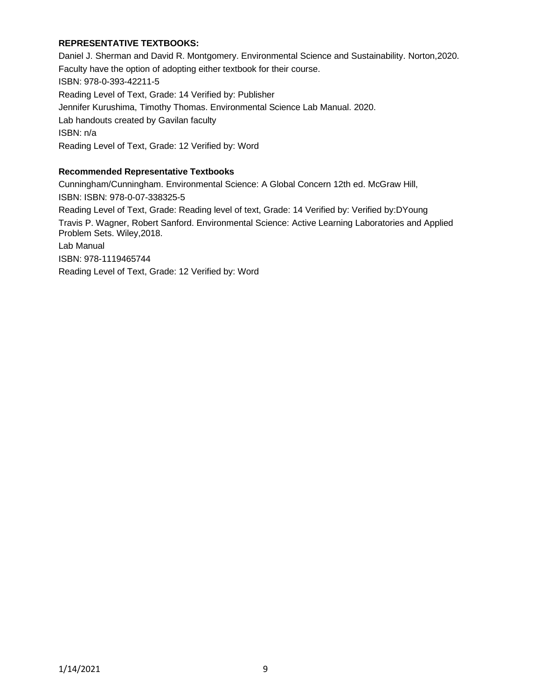## **REPRESENTATIVE TEXTBOOKS:**

Daniel J. Sherman and David R. Montgomery. Environmental Science and Sustainability. Norton,2020. Faculty have the option of adopting either textbook for their course. ISBN: 978-0-393-42211-5 Reading Level of Text, Grade: 14 Verified by: Publisher Jennifer Kurushima, Timothy Thomas. Environmental Science Lab Manual. 2020. Lab handouts created by Gavilan faculty ISBN: n/a Reading Level of Text, Grade: 12 Verified by: Word

#### **Recommended Representative Textbooks**

Cunningham/Cunningham. Environmental Science: A Global Concern 12th ed. McGraw Hill, ISBN: ISBN: 978-0-07-338325-5 Reading Level of Text, Grade: Reading level of text, Grade: 14 Verified by: Verified by:DYoung Travis P. Wagner, Robert Sanford. Environmental Science: Active Learning Laboratories and Applied Problem Sets. Wiley,2018. Lab Manual ISBN: 978-1119465744 Reading Level of Text, Grade: 12 Verified by: Word